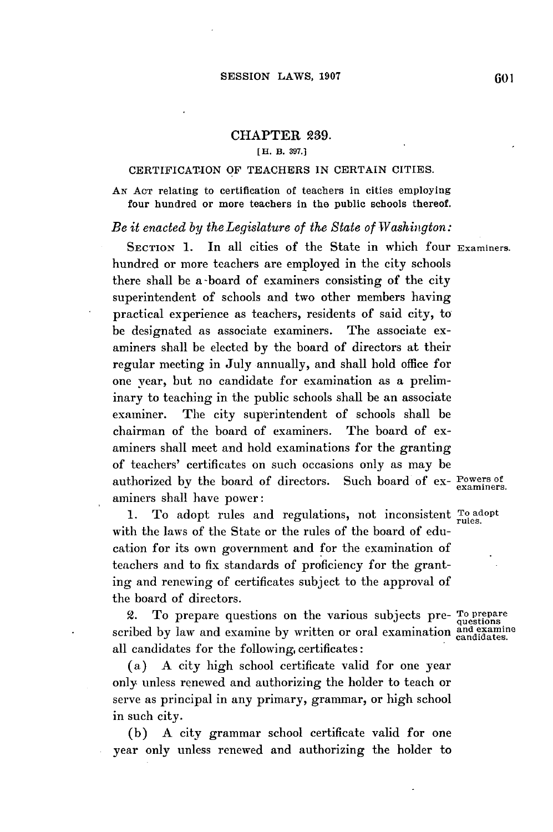## CHAPTER **239.**

## [H. **B. 397.]**

## CERTIFICATION OF TEACHERS IN CERTAIN CITIES.

**AN AcT** relating to certification of teachers in cities employing four hundred or more teachers in the public schools thereof.

## *Be it enacted by the Legislature of the State of Washington:*

**SECTION 1.** In all cities of the State in which four **Examiners.** hundred or more teachers are employed in the city schools there shall be a-board of examiners consisting of the city superintendent of schools and two other members having practical experience as teachers, residents of said city, to be designated as associate examiners. The associate examiners shall be elected **by** the board of directors at their regular meeting in July annually, and shall hold office for one year, but no candidate for examination as a preliminary to teaching in the public schools shall be an associate examiner. The city superintendent of schools shall be chairman of the board of examiners. The board of examiners shall meet and hold examinations for the granting of teachers' certificates on such occasions only as may **be** authorized by the board of directors. Such board of ex- **Powers of examiners.** aminers shall have power:

**1.** To adopt rules and regulations, not inconsistent **To adopt rules.** with the laws of the State or the rules of the board of education for its own government and for the examination of teachers and to fix standards of proficiency for the granting and renewing of certificates subject to the approval of the board of directors.

2. To prepare questions on the various subjects pre- **To prepare questions** scribed **by** law and examine **by** written or oral **examination and examine candidates.** all candidates for the following, certificates:

(a) **A** city high school certificate valid for one year only unless renewed and authorizing the holder to teach or serve as principal in any primary, grammar, or **high** school in such city.

**(b) A** city grammar school certificate valid for one year only unless renewed and authorizing the holder to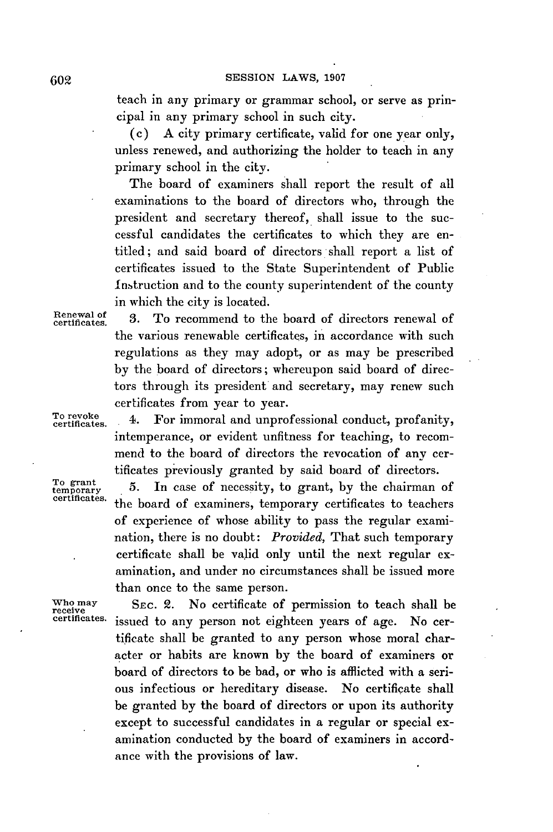teach in any primary or grammar school, or serve as principal in any primary school in such city.

(c) **A** city primary certificate, valid for one year only, unless renewed, and authorizing the holder to teach in any primary school in the city.

The board of examiners shall report the result of all examinations to the board of directors who, through the president and secretary thereof, shall issue to the successful candidates the certificates to which they are entitled; and said board of directors shall report a list of certificates issued to the State Superintendent of Public Instruction and to the county superintendent of the county in which the city is located.

Renewal of<br>certificates.

3. To recommend to the board of directors renewal of the various renewable certificates, in accordance with such regulations as they may adopt, or as may be prescribed **by** the board of directors; whereupon said board of directors through its president and secretary, may renew such certificates from year to year.

To revoke 4. For immoral and unprofessional conduct, profanity, intemperance, or evident unfitness for teaching, to recommend to the board of directors the revocation of any certificates previously granted **by** said board of directors.

To grant 5. In case of necessity, to grant, by the chairman of teentificates. the board of examiners, temporary certificates to teachers of experience of whose ability to pass the regular examination, there is no doubt: *Provided,* That such temporary certificate shall be valid only until the next regular examination, and under no circumstances shall be issued more than once to the same person.

Who may **SEC. 2.** No certificate of permission to teach shall be receive certificates, igned to any person not eighteen years of age. No can issued to any person not eighteen years of age. No certificate shall be granted to any person whose moral character or habits are known **by** the board of examiners or board of directors to be bad, or who is afflicted with a serious infectious or hereditary disease. No certificate shall be granted **by** the board of directors or upon its authority except to successful candidates in a regular or special examination conducted **by** the board of examiners in accordance with the provisions of law.